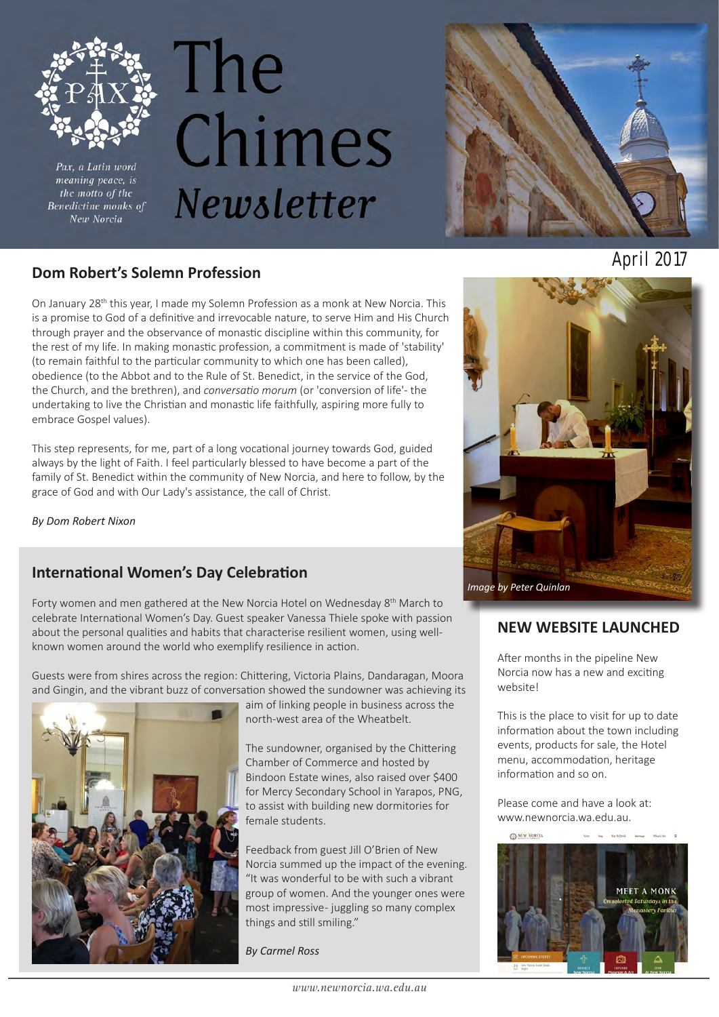

Pax, a Latin word meaning peace, is the motto of the Benedictine monks of New Norcia

# The Chimes Newsletter



### **April 2017 Dom Robert's Solemn Profession**

On January 28<sup>th</sup> this year, I made my Solemn Profession as a monk at New Norcia. This is a promise to God of a definitive and irrevocable nature, to serve Him and His Church through prayer and the observance of monastic discipline within this community, for the rest of my life. In making monastic profession, a commitment is made of 'stability' (to remain faithful to the particular community to which one has been called), obedience (to the Abbot and to the Rule of St. Benedict, in the service of the God, the Church, and the brethren), and *conversatio morum* (or 'conversion of life'- the undertaking to live the Christian and monastic life faithfully, aspiring more fully to embrace Gospel values).

This step represents, for me, part of a long vocational journey towards God, guided always by the light of Faith. I feel particularly blessed to have become a part of the family of St. Benedict within the community of New Norcia, and here to follow, by the grace of God and with Our Lady's assistance, the call of Christ.

*By Dom Robert Nixon*

### **International Women's Day Celebration**

Forty women and men gathered at the New Norcia Hotel on Wednesday 8<sup>th</sup> March to celebrate International Women's Day. Guest speaker Vanessa Thiele spoke with passion about the personal qualities and habits that characterise resilient women, using wellknown women around the world who exemplify resilience in action.

Guests were from shires across the region: Chittering, Victoria Plains, Dandaragan, Moora and Gingin, and the vibrant buzz of conversation showed the sundowner was achieving its



aim of linking people in business across the north-west area of the Wheatbelt.

The sundowner, organised by the Chittering Chamber of Commerce and hosted by Bindoon Estate wines, also raised over \$400 for Mercy Secondary School in Yarapos, PNG, to assist with building new dormitories for female students.

Feedback from guest Jill O'Brien of New Norcia summed up the impact of the evening. "It was wonderful to be with such a vibrant group of women. And the younger ones were most impressive - juggling so many complex things and still smiling."

*By Carmel Ross*



### **NEW WEBSITE LAUNCHED**

After months in the pipeline New Norcia now has a new and exciting website!

This is the place to visit for up to date information about the town including events, products for sale, the Hotel menu, accommodation, heritage information and so on.

Please come and have a look at: www.newnorcia.wa.edu.au.

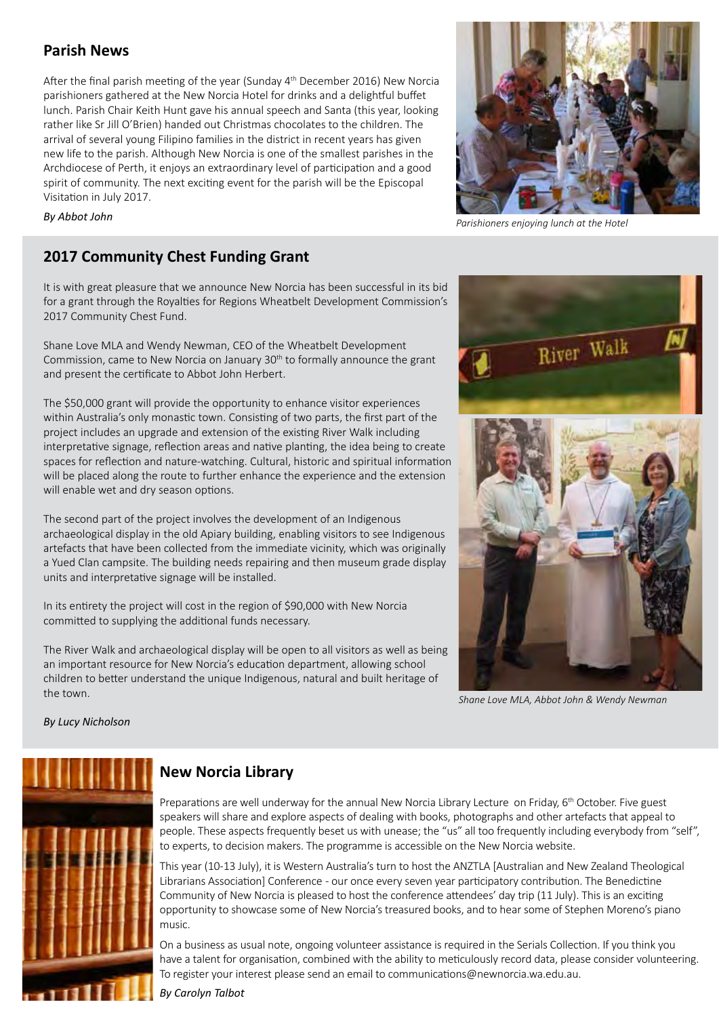### **Parish News**

After the final parish meeting of the year (Sunday 4th December 2016) New Norcia parishioners gathered at the New Norcia Hotel for drinks and a delightful buffet lunch. Parish Chair Keith Hunt gave his annual speech and Santa (this year, looking rather like Sr Jill O'Brien) handed out Christmas chocolates to the children. The arrival of several young Filipino families in the district in recent years has given new life to the parish. Although New Norcia is one of the smallest parishes in the Archdiocese of Perth, it enjoys an extraordinary level of participation and a good spirit of community. The next exciting event for the parish will be the Episcopal Visitation in July 2017.



*By Abbot John*

### **2017 Community Chest Funding Grant**

It is with great pleasure that we announce New Norcia has been successful in its bid for a grant through the Royalties for Regions Wheatbelt Development Commission's 2017 Community Chest Fund.

Shane Love MLA and Wendy Newman, CEO of the Wheatbelt Development Commission, came to New Norcia on January 30<sup>th</sup> to formally announce the grant and present the certificate to Abbot John Herbert.

The \$50,000 grant will provide the opportunity to enhance visitor experiences within Australia's only monastic town. Consisting of two parts, the first part of the project includes an upgrade and extension of the existing River Walk including interpretative signage, reflection areas and native planting, the idea being to create spaces for reflection and nature-watching. Cultural, historic and spiritual information will be placed along the route to further enhance the experience and the extension will enable wet and dry season options.

The second part of the project involves the development of an Indigenous archaeological display in the old Apiary building, enabling visitors to see Indigenous artefacts that have been collected from the immediate vicinity, which was originally a Yued Clan campsite. The building needs repairing and then museum grade display units and interpretative signage will be installed.

In its entirety the project will cost in the region of \$90,000 with New Norcia committed to supplying the additional funds necessary.

The River Walk and archaeological display will be open to all visitors as well as being an important resource for New Norcia's education department, allowing school children to better understand the unique Indigenous, natural and built heritage of the town.



*Shane Love MLA, Abbot John & Wendy Newman*

*By Lucy Nicholson*



### **New Norcia Library**

Preparations are well underway for the annual New Norcia Library Lecture on Friday, 6<sup>th</sup> October. Five guest speakers will share and explore aspects of dealing with books, photographs and other artefacts that appeal to people. These aspects frequently beset us with unease; the "us" all too frequently including everybody from "self", to experts, to decision makers. The programme is accessible on the New Norcia website.

This year (10-13 July), it is Western Australia's turn to host the ANZTLA [Australian and New Zealand Theological Librarians Association] Conference - our once every seven year participatory contribution. The Benedictine Community of New Norcia is pleased to host the conference attendees' day trip (11 July). This is an exciting opportunity to showcase some of New Norcia's treasured books, and to hear some of Stephen Moreno's piano music.

On a business as usual note, ongoing volunteer assistance is required in the Serials Collection. If you think you have a talent for organisation, combined with the ability to meticulously record data, please consider volunteering. To register your interest please send an email to communications@newnorcia.wa.edu.au.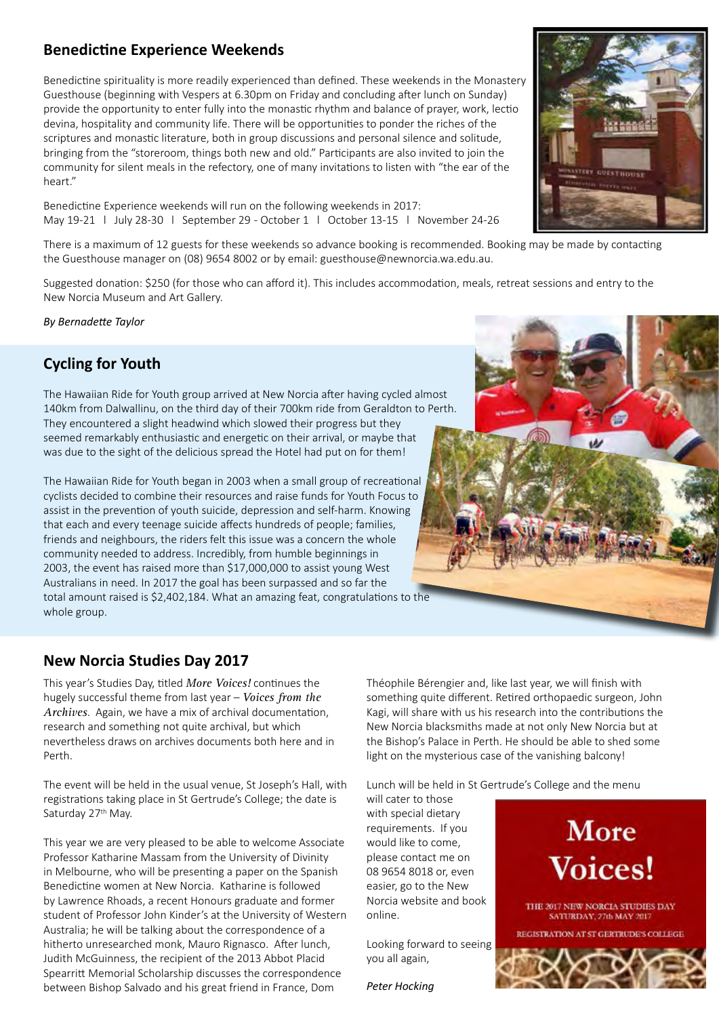### **Benedictine Experience Weekends**

Benedictine spirituality is more readily experienced than defined. These weekends in the Monastery Guesthouse (beginning with Vespers at 6.30pm on Friday and concluding after lunch on Sunday) provide the opportunity to enter fully into the monastic rhythm and balance of prayer, work, lectio devina, hospitality and community life. There will be opportunities to ponder the riches of the scriptures and monastic literature, both in group discussions and personal silence and solitude, bringing from the "storeroom, things both new and old." Participants are also invited to join the community for silent meals in the refectory, one of many invitations to listen with "the ear of the heart."

Benedictine Experience weekends will run on the following weekends in 2017: May 19-21 l July 28-30 l September 29 - October 1 l October 13-15 l November 24-26

There is a maximum of 12 guests for these weekends so advance booking is recommended. Booking may be made by contacting the Guesthouse manager on (08) 9654 8002 or by email: guesthouse@newnorcia.wa.edu.au.

Suggested donation: \$250 (for those who can afford it). This includes accommodation, meals, retreat sessions and entry to the New Norcia Museum and Art Gallery.

*By Bernadette Taylor*

### **Cycling for Youth**

The Hawaiian Ride for Youth group arrived at New Norcia after having cycled almost 140km from Dalwallinu, on the third day of their 700km ride from Geraldton to Perth. They encountered a slight headwind which slowed their progress but they seemed remarkably enthusiastic and energetic on their arrival, or maybe that was due to the sight of the delicious spread the Hotel had put on for them!

The Hawaiian Ride for Youth began in 2003 when a small group of recreational cyclists decided to combine their resources and raise funds for Youth Focus to assist in the prevention of youth suicide, depression and self-harm. Knowing that each and every teenage suicide affects hundreds of people; families, friends and neighbours, the riders felt this issue was a concern the whole community needed to address. Incredibly, from humble beginnings in 2003, the event has raised more than \$17,000,000 to assist young West Australians in need. In 2017 the goal has been surpassed and so far the total amount raised is \$2,402,184. What an amazing feat, congratulations to the whole group.

### **New Norcia Studies Day 2017**

This year's Studies Day, titled *More Voices!* continues the hugely successful theme from last year – *Voices from the Archives*. Again, we have a mix of archival documentation, research and something not quite archival, but which nevertheless draws on archives documents both here and in Perth.

The event will be held in the usual venue, St Joseph's Hall, with registrations taking place in St Gertrude's College; the date is Saturday 27<sup>th</sup> May.

This year we are very pleased to be able to welcome Associate Professor Katharine Massam from the University of Divinity in Melbourne, who will be presenting a paper on the Spanish Benedictine women at New Norcia. Katharine is followed by Lawrence Rhoads, a recent Honours graduate and former student of Professor John Kinder's at the University of Western Australia; he will be talking about the correspondence of a hitherto unresearched monk, Mauro Rignasco. After lunch, Judith McGuinness, the recipient of the 2013 Abbot Placid Spearritt Memorial Scholarship discusses the correspondence between Bishop Salvado and his great friend in France, Dom

Théophile Bérengier and, like last year, we will finish with something quite different. Retired orthopaedic surgeon, John Kagi, will share with us his research into the contributions the New Norcia blacksmiths made at not only New Norcia but at the Bishop's Palace in Perth. He should be able to shed some light on the mysterious case of the vanishing balcony!

Lunch will be held in St Gertrude's College and the menu

will cater to those with special dietary requirements. If you would like to come, please contact me on 08 9654 8018 or, even easier, go to the New Norcia website and book online.

Looking forward to seeing you all again,

*Peter Hocking*





A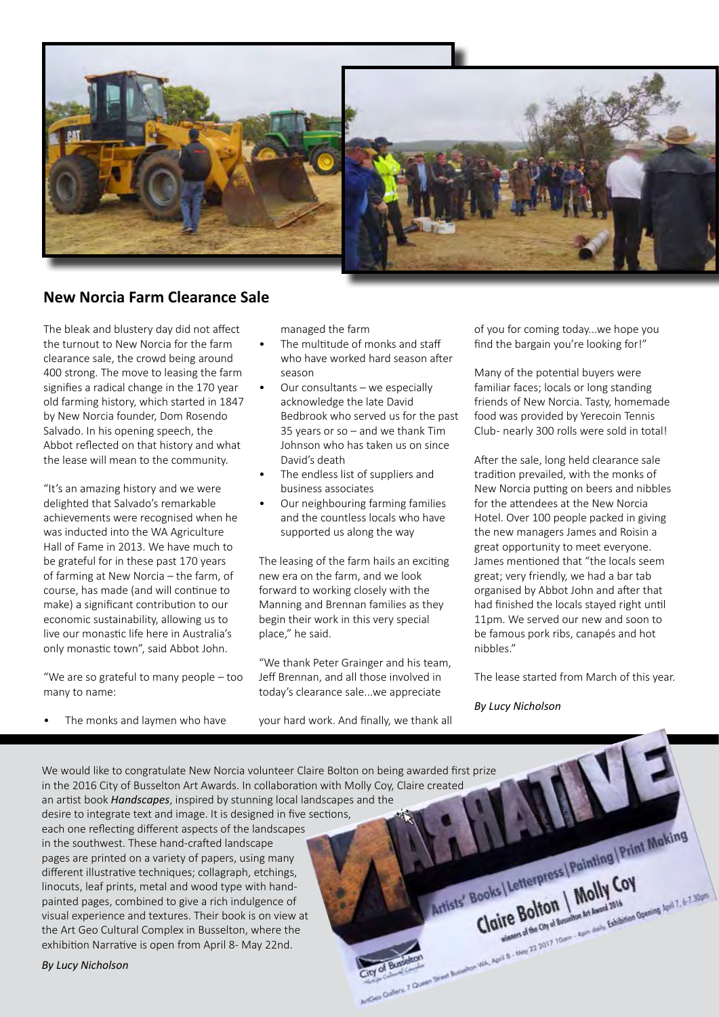

### **New Norcia Farm Clearance Sale**

The bleak and blustery day did not affect the turnout to New Norcia for the farm clearance sale, the crowd being around 400 strong. The move to leasing the farm signifies a radical change in the 170 year old farming history, which started in 1847 by New Norcia founder, Dom Rosendo Salvado. In his opening speech, the Abbot reflected on that history and what the lease will mean to the community.

"It's an amazing history and we were delighted that Salvado's remarkable achievements were recognised when he was inducted into the WA Agriculture Hall of Fame in 2013. We have much to be grateful for in these past 170 years of farming at New Norcia – the farm, of course, has made (and will continue to make) a significant contribution to our economic sustainability, allowing us to live our monastic life here in Australia's only monastic town", said Abbot John.

"We are so grateful to many people – too many to name:

The monks and laymen who have

managed the farm

- The multitude of monks and staff who have worked hard season after season
- Our consultants we especially acknowledge the late David Bedbrook who served us for the past 35 years or so – and we thank Tim Johnson who has taken us on since David's death
- The endless list of suppliers and business associates
- Our neighbouring farming families and the countless locals who have supported us along the way

The leasing of the farm hails an exciting new era on the farm, and we look forward to working closely with the Manning and Brennan families as they begin their work in this very special place," he said.

"We thank Peter Grainger and his team, Jeff Brennan, and all those involved in today's clearance sale...we appreciate

your hard work. And finally, we thank all

of you for coming today...we hope you find the bargain you're looking for!"

Many of the potential buyers were familiar faces; locals or long standing friends of New Norcia. Tasty, homemade food was provided by Yerecoin Tennis Club- nearly 300 rolls were sold in total!

After the sale, long held clearance sale tradition prevailed, with the monks of New Norcia putting on beers and nibbles for the attendees at the New Norcia Hotel. Over 100 people packed in giving the new managers James and Roisin a great opportunity to meet everyone. James mentioned that "the locals seem great; very friendly, we had a bar tab organised by Abbot John and after that had finished the locals stayed right until 11pm. We served our new and soon to be famous pork ribs, canapés and hot nibbles."

The lease started from March of this year.

*By Lucy Nicholson*

We would like to congratulate New Norcia volunteer Claire Bolton on being awarded first prize in the 2016 City of Busselton Art Awards. In collaboration with Molly Coy, Claire created an artist book *Handscapes*, inspired by stunning local landscapes and the desire to integrate text and image. It is designed in five sections, Artists' Books | Letterpress | Painting | Print Making each one reflecting different aspects of the landscapes in the southwest. These hand-crafted landscape pages are printed on a variety of papers, using many Books | Letterpress | Painting different illustrative techniques; collagraph, etchings, Of Bustalton, Artists' Books | Letterprice | Molly Cov linocuts, leaf prints, metal and wood type with handpainted pages, combined to give a rich indulgence of visual experience and textures. Their book is on view at the Art Geo Cultural Complex in Busselton, where the exhibition Narrative is open from April 8- May 22nd.

*By Lucy Nicholson*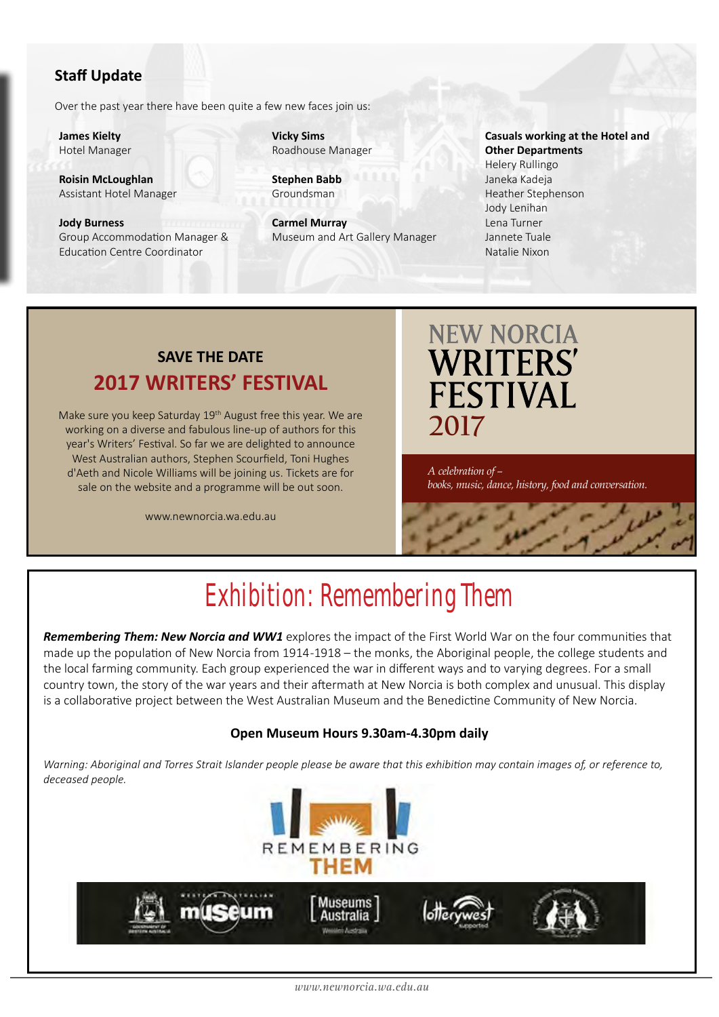### **Staff Update**

Over the past year there have been quite a few new faces join us:

**James Kielty**  Hotel Manager

**Roisin McLoughlan** Assistant Hotel Manager

#### **Jody Burness** Group Accommodation Manager & Education Centre Coordinator

**Vicky Sims** Roadhouse Manager

**Stephen Babb** Groundsman

**Carmel Murray** Museum and Art Gallery Manager

#### **Casuals working at the Hotel and Other Departments** Helery Rullingo Janeka Kadeja Heather Stephenson Jody Lenihan Lena Turner Jannete Tuale

### **SAVE THE DATE 2017 WRITERS' FESTIVAL**

Make sure you keep Saturday 19th August free this year. We are working on a diverse and fabulous line-up of authors for this year's Writers' Festival. So far we are delighted to announce West Australian authors, Stephen Scourfield, Toni Hughes d'Aeth and Nicole Williams will be joining us. Tickets are for sale on the website and a programme will be out soon.

www.newnorcia.wa.edu.au

**NEW NORCIA WRITERS' FESTIVAL 2017**

Natalie Nixon

*A celebration of – books, music, dance, history, food and conversation.*

### Exhibition: Remembering Them

*Remembering Them: New Norcia and WW1* explores the impact of the First World War on the four communities that made up the population of New Norcia from 1914 -1918 – the monks, the Aboriginal people, the college students and the local farming community. Each group experienced the war in different ways and to varying degrees. For a small country town, the story of the war years and their aftermath at New Norcia is both complex and unusual. This display is a collaborative project between the West Australian Museum and the Benedictine Community of New Norcia.

#### **Open Museum Hours 9.30am-4.30pm daily**

*Warning: Aboriginal and Torres Strait Islander people please be aware that this exhibition may contain images of, or reference to, deceased people.*

**REMEMBERING** 

Museums Australia **Manufacture Adventure** 

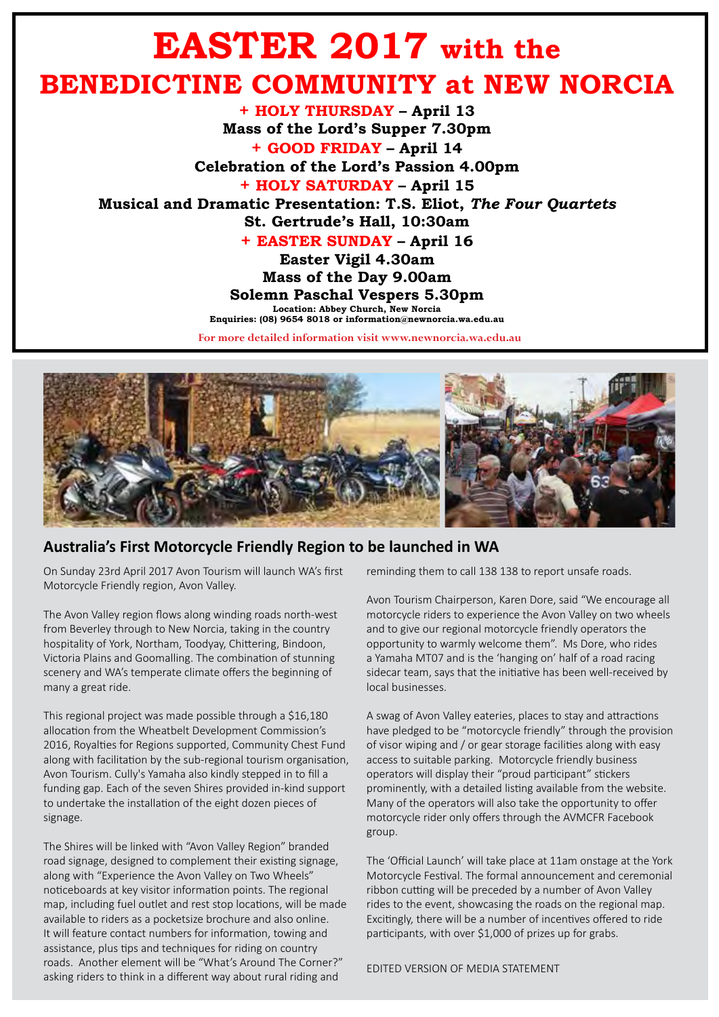### **EASTER 2017 with the BENEDICTINE COMMUNITY at NEW NORCIA**

**+ HOLY THURSDAY – April 13 Mass of the Lord's Supper 7.30pm + GOOD FRIDAY – April 14 Celebration of the Lord's Passion 4.00pm + HOLY SATURDAY – April 15 Musical and Dramatic Presentation: T.S. Eliot,** *The Four Quartets*  **St. Gertrude's Hall, 10:30am + EASTER SUNDAY – April 16 Easter Vigil 4.30am Mass of the Day 9.00am Solemn Paschal Vespers 5.30pm Location: Abbey Church, New Norcia**

**Enquiries: (08) 9654 8018 or information@newnorcia.wa.edu.au**

**For more detailed information visit www.newnorcia.wa.edu.au**



#### **Australia's First Motorcycle Friendly Region to be launched in WA**

On Sunday 23rd April 2017 Avon Tourism will launch WA's first Motorcycle Friendly region, Avon Valley.

The Avon Valley region flows along winding roads north-west from Beverley through to New Norcia, taking in the country hospitality of York, Northam, Toodyay, Chittering, Bindoon, Victoria Plains and Goomalling. The combination of stunning scenery and WA's temperate climate offers the beginning of many a great ride.

This regional project was made possible through a \$16,180 allocation from the Wheatbelt Development Commission's 2016, Royalties for Regions supported, Community Chest Fund along with facilitation by the sub-regional tourism organisation, Avon Tourism. Cully's Yamaha also kindly stepped in to fill a funding gap. Each of the seven Shires provided in-kind support to undertake the installation of the eight dozen pieces of signage.

The Shires will be linked with "Avon Valley Region" branded road signage, designed to complement their existing signage, along with "Experience the Avon Valley on Two Wheels" noticeboards at key visitor information points. The regional map, including fuel outlet and rest stop locations, will be made available to riders as a pocketsize brochure and also online. It will feature contact numbers for information, towing and assistance, plus tips and techniques for riding on country roads. Another element will be "What's Around The Corner?" asking riders to think in a different way about rural riding and

reminding them to call 138 138 to report unsafe roads.

Avon Tourism Chairperson, Karen Dore, said "We encourage all motorcycle riders to experience the Avon Valley on two wheels and to give our regional motorcycle friendly operators the opportunity to warmly welcome them". Ms Dore, who rides a Yamaha MT07 and is the 'hanging on' half of a road racing sidecar team, says that the initiative has been well-received by local businesses.

A swag of Avon Valley eateries, places to stay and attractions have pledged to be "motorcycle friendly" through the provision of visor wiping and / or gear storage facilities along with easy access to suitable parking. Motorcycle friendly business operators will display their "proud participant" stickers prominently, with a detailed listing available from the website. Many of the operators will also take the opportunity to offer motorcycle rider only offers through the AVMCFR Facebook group.

The 'Official Launch' will take place at 11am onstage at the York Motorcycle Festival. The formal announcement and ceremonial ribbon cutting will be preceded by a number of Avon Valley rides to the event, showcasing the roads on the regional map. Excitingly, there will be a number of incentives offered to ride participants, with over \$1,000 of prizes up for grabs.

EDITED VERSION OF MEDIA STATEMENT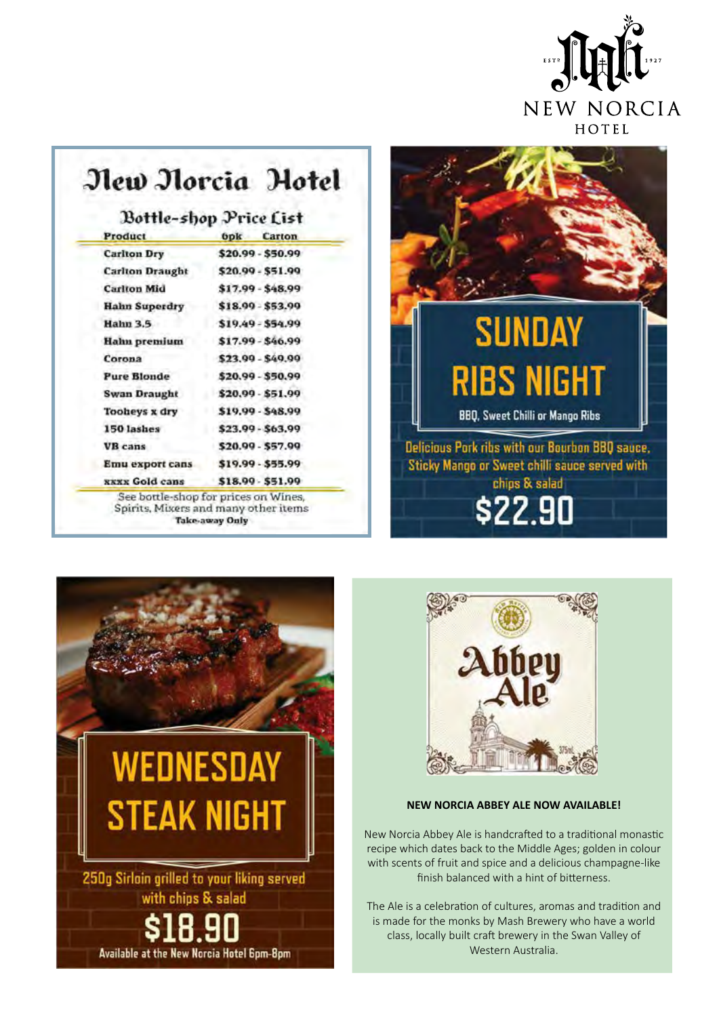

### New Norcia Hotel

### Bottle-shop Price List

| Product                | <b>Opk</b><br>Carton |
|------------------------|----------------------|
| <b>Carlton Dry</b>     | \$20.99 - \$50.99    |
| <b>Carlton Draught</b> | \$20.99 - \$51.99    |
| <b>Carlton Mid</b>     | \$17.99 - \$48.99    |
| <b>Hahn Superdry</b>   | \$18.99 - \$53.99    |
| <b>Hahn 3.5</b>        | \$19.49 - \$54.99    |
| Hahn premium           | \$17.99 - \$46.99    |
| Corona                 | \$23,99 - \$49,99    |
| <b>Pure Blonde</b>     | \$20.99 - \$50.99    |
| Swan Draught           | \$20.99 - \$51.99    |
| Tooheys x dry          | \$19,99 - \$48,99    |
| 150 lashes             | \$23.99 - \$63.99    |
| <b>VB</b> cans         | \$20.99 - \$57.99    |
| Emu export cans        | \$19.99 - \$55.99    |
| <b>xxxx Gold cans</b>  | \$18.99 - \$51.99    |







#### **NEW NORCIA ABBEY ALE NOW AVAILABLE!**

New Norcia Abbey Ale is handcrafted to a traditional monastic recipe which dates back to the Middle Ages; golden in colour with scents of fruit and spice and a delicious champagne-like finish balanced with a hint of bitterness.

The Ale is a celebration of cultures, aromas and tradition and is made for the monks by Mash Brewery who have a world class, locally built craft brewery in the Swan Valley of Western Australia.